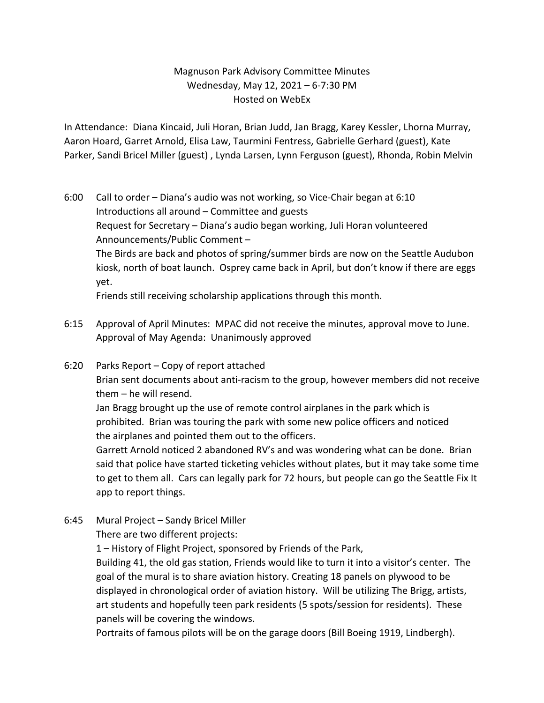# Magnuson Park Advisory Committee Minutes Wednesday, May 12, 2021 – 6-7:30 PM Hosted on WebEx

In Attendance: Diana Kincaid, Juli Horan, Brian Judd, Jan Bragg, Karey Kessler, Lhorna Murray, Aaron Hoard, Garret Arnold, Elisa Law, Taurmini Fentress, Gabrielle Gerhard (guest), Kate Parker, Sandi Bricel Miller (guest) , Lynda Larsen, Lynn Ferguson (guest), Rhonda, Robin Melvin

- 6:00 Call to order Diana's audio was not working, so Vice-Chair began at 6:10 Introductions all around – Committee and guests Request for Secretary – Diana's audio began working, Juli Horan volunteered Announcements/Public Comment – The Birds are back and photos of spring/summer birds are now on the Seattle Audubon kiosk, north of boat launch. Osprey came back in April, but don't know if there are eggs yet. Friends still receiving scholarship applications through this month.
- 6:15 Approval of April Minutes: MPAC did not receive the minutes, approval move to June. Approval of May Agenda: Unanimously approved
- 6:20 Parks Report Copy of report attached

Brian sent documents about anti-racism to the group, however members did not receive them – he will resend.

Jan Bragg brought up the use of remote control airplanes in the park which is prohibited. Brian was touring the park with some new police officers and noticed the airplanes and pointed them out to the officers.

Garrett Arnold noticed 2 abandoned RV's and was wondering what can be done. Brian said that police have started ticketing vehicles without plates, but it may take some time to get to them all. Cars can legally park for 72 hours, but people can go the Seattle Fix It app to report things.

6:45 Mural Project – Sandy Bricel Miller

There are two different projects:

1 – History of Flight Project, sponsored by Friends of the Park,

Building 41, the old gas station, Friends would like to turn it into a visitor's center. The goal of the mural is to share aviation history. Creating 18 panels on plywood to be displayed in chronological order of aviation history. Will be utilizing The Brigg, artists, art students and hopefully teen park residents (5 spots/session for residents). These panels will be covering the windows.

Portraits of famous pilots will be on the garage doors (Bill Boeing 1919, Lindbergh).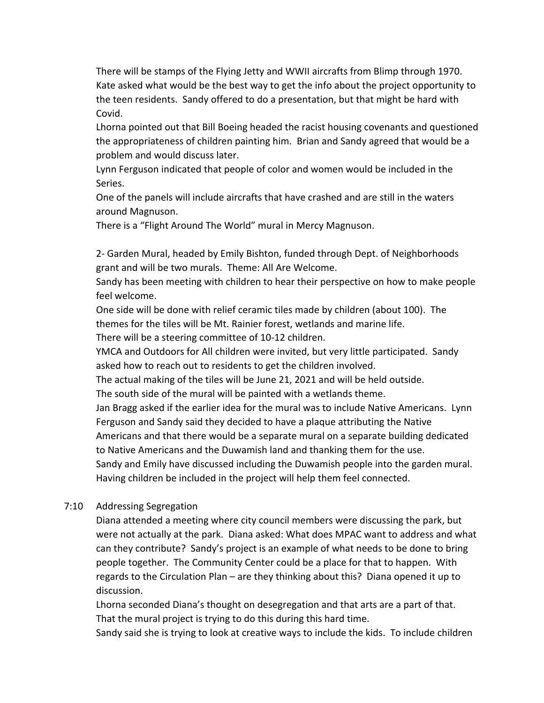There will be stamps of the Flying Jetty and WWII aircrafts from Blimp through 1970. Kate asked what would be the best way to get the info about the project opportunity to the teen residents. Sandy offered to do a presentation, but that might be hard with Covid.

Lhorna pointed out that Bill Boeing headed the racist housing covenants and questioned the appropriateness of children painting him. Brian and Sandy agreed that would be a problem and would discuss later.

Lynn Ferguson indicated that people of color and women would be included in the Series.

One of the panels will include aircrafts that have crashed and are still in the waters around Magnuson.

There is a "Flight Around The World" mural in Mercy Magnuson.

2- Garden Mural, headed by Emily Bishton, funded through Dept. of Neighborhoods grant and will be two murals. Theme: All Are Welcome.

Sandy has been meeting with children to hear their perspective on how to make people feel welcome.

One side will be done with relief ceramic tiles made by children (about 100). The themes for the tiles will be Mt. Rainier forest, wetlands and marine life. There will be a steering committee of 10-12 children.

YMCA and Outdoors for All children were invited, but very little participated. Sandy asked how to reach out to residents to get the children involved.

The actual making of the tiles will be June 21, 2021 and will be held outside.

The south side of the mural will be painted with a wetlands theme.

Jan Bragg asked if the earlier idea for the mural was to include Native Americans. Lynn Ferguson and Sandy said they decided to have a plaque attributing the Native

Americans and that there would be a separate mural on a separate building dedicated to Native Americans and the Duwamish land and thanking them for the use.

Sandy and Emily have discussed including the Duwamish people into the garden mural. Having children be included in the project will help them feel connected.

## 7:10 Addressing Segregation

Diana attended a meeting where city council members were discussing the park, but were not actually at the park. Diana asked: What does MPAC want to address and what can they contribute? Sandy's project is an example of what needs to be done to bring people together. The Community Center could be a place for that to happen. With regards to the Circulation Plan – are they thinking about this? Diana opened it up to discussion.

Lhorna seconded Diana's thought on desegregation and that arts are a part of that. That the mural project is trying to do this during this hard time.

Sandy said she is trying to look at creative ways to include the kids. To include children